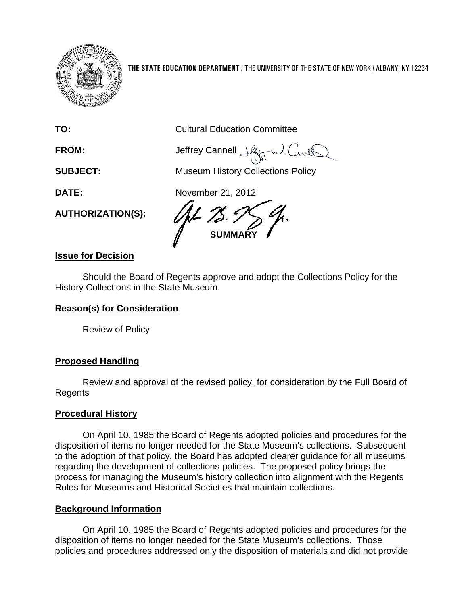

**THE STATE EDUCATION DEPARTMENT** / THE UNIVERSITY OF THE STATE OF NEW YORK / ALBANY, NY 12234

**TO:** Cultural Education Committee

**FROM:** Jeffrey Cannell Jeffrey Connell Jeffrey J. Cand

**SUBJECT:** Museum History Collections Policy

**DATE:** November 21, 2012

**AUTHORIZATION(S):**

**SUMMARY**

# **Issue for Decision**

Should the Board of Regents approve and adopt the Collections Policy for the History Collections in the State Museum.

# **Reason(s) for Consideration**

Review of Policy

# **Proposed Handling**

Review and approval of the revised policy, for consideration by the Full Board of Regents

# **Procedural History**

On April 10, 1985 the Board of Regents adopted policies and procedures for the disposition of items no longer needed for the State Museum's collections. Subsequent to the adoption of that policy, the Board has adopted clearer guidance for all museums regarding the development of collections policies. The proposed policy brings the process for managing the Museum's history collection into alignment with the Regents Rules for Museums and Historical Societies that maintain collections.

# **Background Information**

On April 10, 1985 the Board of Regents adopted policies and procedures for the disposition of items no longer needed for the State Museum's collections. Those policies and procedures addressed only the disposition of materials and did not provide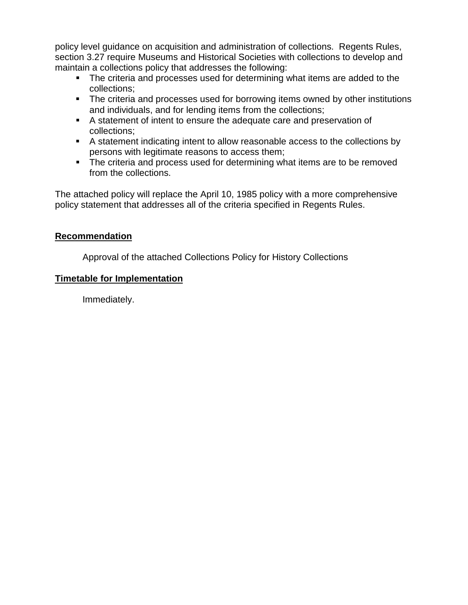policy level guidance on acquisition and administration of collections. Regents Rules, section 3.27 require Museums and Historical Societies with collections to develop and maintain a collections policy that addresses the following:

- The criteria and processes used for determining what items are added to the collections;
- The criteria and processes used for borrowing items owned by other institutions and individuals, and for lending items from the collections;
- A statement of intent to ensure the adequate care and preservation of collections;
- A statement indicating intent to allow reasonable access to the collections by persons with legitimate reasons to access them;
- The criteria and process used for determining what items are to be removed from the collections.

The attached policy will replace the April 10, 1985 policy with a more comprehensive policy statement that addresses all of the criteria specified in Regents Rules.

# **Recommendation**

Approval of the attached Collections Policy for History Collections

# **Timetable for Implementation**

Immediately.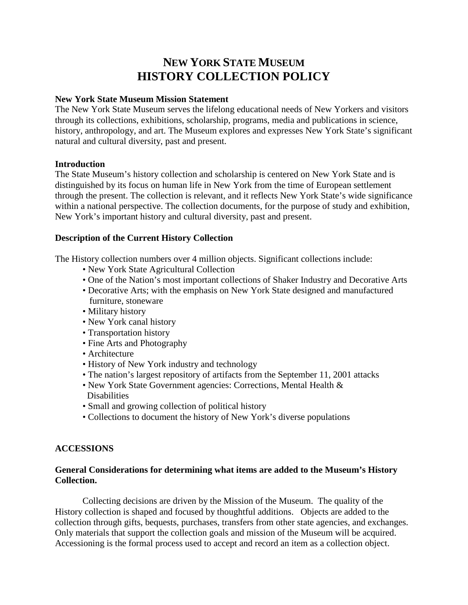# **NEW YORK STATE MUSEUM HISTORY COLLECTION POLICY**

### **New York State Museum Mission Statement**

The New York State Museum serves the lifelong educational needs of New Yorkers and visitors through its collections, exhibitions, scholarship, programs, media and publications in science, history, anthropology, and art. The Museum explores and expresses New York State's significant natural and cultural diversity, past and present.

## **Introduction**

The State Museum's history collection and scholarship is centered on New York State and is distinguished by its focus on human life in New York from the time of European settlement through the present. The collection is relevant, and it reflects New York State's wide significance within a national perspective. The collection documents, for the purpose of study and exhibition, New York's important history and cultural diversity, past and present.

# **Description of the Current History Collection**

The History collection numbers over 4 million objects. Significant collections include:

- New York State Agricultural Collection
- One of the Nation's most important collections of Shaker Industry and Decorative Arts
- Decorative Arts; with the emphasis on New York State designed and manufactured furniture, stoneware
- Military history
- New York canal history
- Transportation history
- Fine Arts and Photography
- Architecture
- History of New York industry and technology
- The nation's largest repository of artifacts from the September 11, 2001 attacks
- New York State Government agencies: Corrections, Mental Health & **Disabilities**
- Small and growing collection of political history
- Collections to document the history of New York's diverse populations

# **ACCESSIONS**

## **General Considerations for determining what items are added to the Museum's History Collection.**

Collecting decisions are driven by the Mission of the Museum. The quality of the History collection is shaped and focused by thoughtful additions. Objects are added to the collection through gifts, bequests, purchases, transfers from other state agencies, and exchanges. Only materials that support the collection goals and mission of the Museum will be acquired. Accessioning is the formal process used to accept and record an item as a collection object.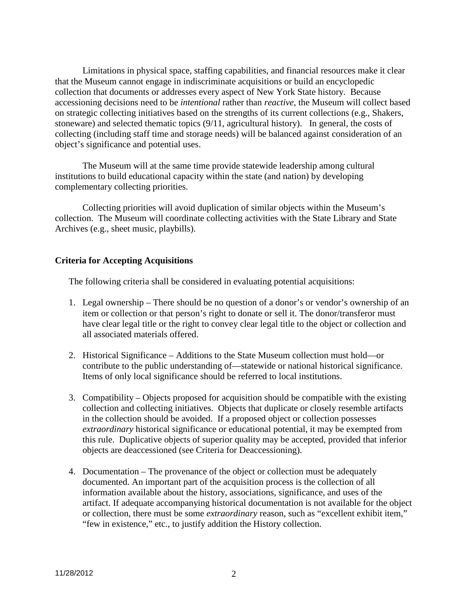Limitations in physical space, staffing capabilities, and financial resources make it clear that the Museum cannot engage in indiscriminate acquisitions or build an encyclopedic collection that documents or addresses every aspect of New York State history. Because accessioning decisions need to be *intentional* rather than *reactive*, the Museum will collect based on strategic collecting initiatives based on the strengths of its current collections (e.g., Shakers, stoneware) and selected thematic topics (9/11, agricultural history). In general, the costs of collecting (including staff time and storage needs) will be balanced against consideration of an object's significance and potential uses.

The Museum will at the same time provide statewide leadership among cultural institutions to build educational capacity within the state (and nation) by developing complementary collecting priorities.

Collecting priorities will avoid duplication of similar objects within the Museum's collection. The Museum will coordinate collecting activities with the State Library and State Archives (e.g., sheet music, playbills).

### **Criteria for Accepting Acquisitions**

The following criteria shall be considered in evaluating potential acquisitions:

- 1. Legal ownership There should be no question of a donor's or vendor's ownership of an item or collection or that person's right to donate or sell it. The donor/transferor must have clear legal title or the right to convey clear legal title to the object or collection and all associated materials offered.
- 2. Historical Significance Additions to the State Museum collection must hold—or contribute to the public understanding of—statewide or national historical significance. Items of only local significance should be referred to local institutions.
- 3. Compatibility Objects proposed for acquisition should be compatible with the existing collection and collecting initiatives. Objects that duplicate or closely resemble artifacts in the collection should be avoided. If a proposed object or collection possesses *extraordinary* historical significance or educational potential, it may be exempted from this rule. Duplicative objects of superior quality may be accepted, provided that inferior objects are deaccessioned (see Criteria for Deaccessioning).
- 4. Documentation The provenance of the object or collection must be adequately documented. An important part of the acquisition process is the collection of all information available about the history, associations, significance, and uses of the artifact. If adequate accompanying historical documentation is not available for the object or collection, there must be some *extraordinary* reason, such as "excellent exhibit item," "few in existence," etc., to justify addition the History collection.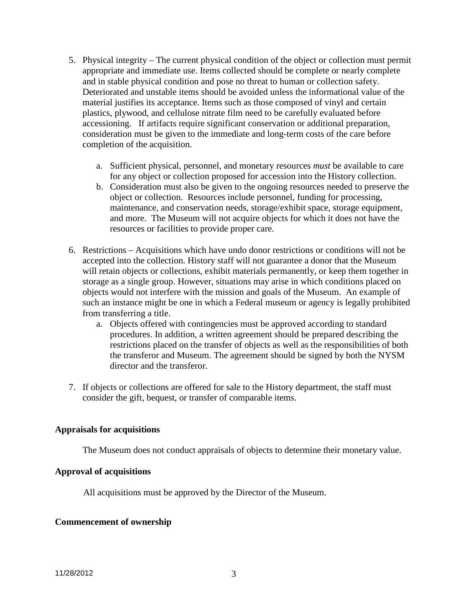- 5. Physical integrity The current physical condition of the object or collection must permit appropriate and immediate use. Items collected should be complete or nearly complete and in stable physical condition and pose no threat to human or collection safety. Deteriorated and unstable items should be avoided unless the informational value of the material justifies its acceptance. Items such as those composed of vinyl and certain plastics, plywood, and cellulose nitrate film need to be carefully evaluated before accessioning. If artifacts require significant conservation or additional preparation, consideration must be given to the immediate and long-term costs of the care before completion of the acquisition.
	- a. Sufficient physical, personnel, and monetary resources *must* be available to care for any object or collection proposed for accession into the History collection.
	- b. Consideration must also be given to the ongoing resources needed to preserve the object or collection. Resources include personnel, funding for processing, maintenance, and conservation needs, storage/exhibit space, storage equipment, and more. The Museum will not acquire objects for which it does not have the resources or facilities to provide proper care.
- 6. Restrictions Acquisitions which have undo donor restrictions or conditions will not be accepted into the collection. History staff will not guarantee a donor that the Museum will retain objects or collections, exhibit materials permanently, or keep them together in storage as a single group. However, situations may arise in which conditions placed on objects would not interfere with the mission and goals of the Museum. An example of such an instance might be one in which a Federal museum or agency is legally prohibited from transferring a title.
	- a. Objects offered with contingencies must be approved according to standard procedures. In addition, a written agreement should be prepared describing the restrictions placed on the transfer of objects as well as the responsibilities of both the transferor and Museum. The agreement should be signed by both the NYSM director and the transferor.
- 7. If objects or collections are offered for sale to the History department, the staff must consider the gift, bequest, or transfer of comparable items.

### **Appraisals for acquisitions**

The Museum does not conduct appraisals of objects to determine their monetary value.

### **Approval of acquisitions**

All acquisitions must be approved by the Director of the Museum.

#### **Commencement of ownership**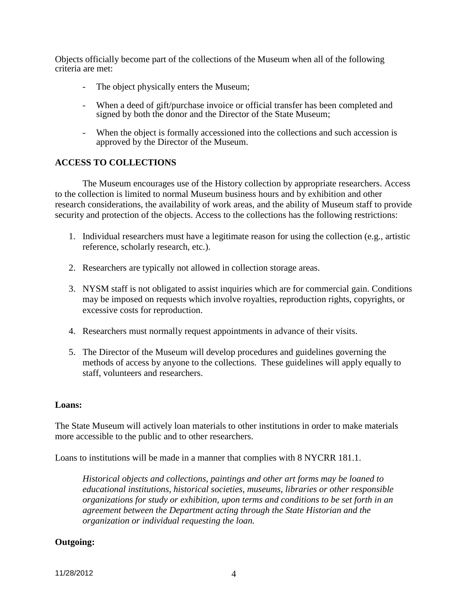Objects officially become part of the collections of the Museum when all of the following criteria are met:

- The object physically enters the Museum;
- When a deed of gift/purchase invoice or official transfer has been completed and signed by both the donor and the Director of the State Museum;
- When the object is formally accessioned into the collections and such accession is approved by the Director of the Museum.

# **ACCESS TO COLLECTIONS**

The Museum encourages use of the History collection by appropriate researchers. Access to the collection is limited to normal Museum business hours and by exhibition and other research considerations, the availability of work areas, and the ability of Museum staff to provide security and protection of the objects. Access to the collections has the following restrictions:

- 1. Individual researchers must have a legitimate reason for using the collection (e.g., artistic reference, scholarly research, etc.).
- 2. Researchers are typically not allowed in collection storage areas.
- 3. NYSM staff is not obligated to assist inquiries which are for commercial gain. Conditions may be imposed on requests which involve royalties, reproduction rights, copyrights, or excessive costs for reproduction.
- 4. Researchers must normally request appointments in advance of their visits.
- 5. The Director of the Museum will develop procedures and guidelines governing the methods of access by anyone to the collections. These guidelines will apply equally to staff, volunteers and researchers.

### **Loans:**

The State Museum will actively loan materials to other institutions in order to make materials more accessible to the public and to other researchers.

Loans to institutions will be made in a manner that complies with 8 NYCRR 181.1.

*Historical objects and collections, paintings and other art forms may be loaned to educational institutions, historical societies, museums, libraries or other responsible organizations for study or exhibition, upon terms and conditions to be set forth in an agreement between the Department acting through the State Historian and the organization or individual requesting the loan.*

# **Outgoing:**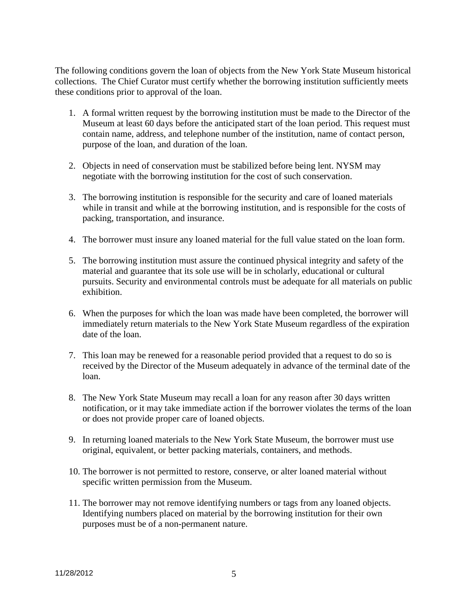The following conditions govern the loan of objects from the New York State Museum historical collections. The Chief Curator must certify whether the borrowing institution sufficiently meets these conditions prior to approval of the loan.

- 1. A formal written request by the borrowing institution must be made to the Director of the Museum at least 60 days before the anticipated start of the loan period. This request must contain name, address, and telephone number of the institution, name of contact person, purpose of the loan, and duration of the loan.
- 2. Objects in need of conservation must be stabilized before being lent. NYSM may negotiate with the borrowing institution for the cost of such conservation.
- 3. The borrowing institution is responsible for the security and care of loaned materials while in transit and while at the borrowing institution, and is responsible for the costs of packing, transportation, and insurance.
- 4. The borrower must insure any loaned material for the full value stated on the loan form.
- 5. The borrowing institution must assure the continued physical integrity and safety of the material and guarantee that its sole use will be in scholarly, educational or cultural pursuits. Security and environmental controls must be adequate for all materials on public exhibition.
- 6. When the purposes for which the loan was made have been completed, the borrower will immediately return materials to the New York State Museum regardless of the expiration date of the loan.
- 7. This loan may be renewed for a reasonable period provided that a request to do so is received by the Director of the Museum adequately in advance of the terminal date of the loan.
- 8. The New York State Museum may recall a loan for any reason after 30 days written notification, or it may take immediate action if the borrower violates the terms of the loan or does not provide proper care of loaned objects.
- 9. In returning loaned materials to the New York State Museum, the borrower must use original, equivalent, or better packing materials, containers, and methods.
- 10. The borrower is not permitted to restore, conserve, or alter loaned material without specific written permission from the Museum.
- 11. The borrower may not remove identifying numbers or tags from any loaned objects. Identifying numbers placed on material by the borrowing institution for their own purposes must be of a non-permanent nature.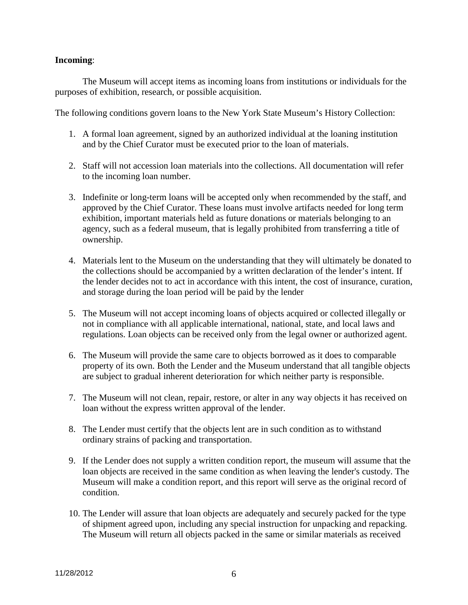## **Incoming**:

The Museum will accept items as incoming loans from institutions or individuals for the purposes of exhibition, research, or possible acquisition.

The following conditions govern loans to the New York State Museum's History Collection:

- 1. A formal loan agreement, signed by an authorized individual at the loaning institution and by the Chief Curator must be executed prior to the loan of materials.
- 2. Staff will not accession loan materials into the collections. All documentation will refer to the incoming loan number.
- 3. Indefinite or long-term loans will be accepted only when recommended by the staff, and approved by the Chief Curator. These loans must involve artifacts needed for long term exhibition, important materials held as future donations or materials belonging to an agency, such as a federal museum, that is legally prohibited from transferring a title of ownership.
- 4. Materials lent to the Museum on the understanding that they will ultimately be donated to the collections should be accompanied by a written declaration of the lender's intent. If the lender decides not to act in accordance with this intent, the cost of insurance, curation, and storage during the loan period will be paid by the lender
- 5. The Museum will not accept incoming loans of objects acquired or collected illegally or not in compliance with all applicable international, national, state, and local laws and regulations. Loan objects can be received only from the legal owner or authorized agent.
- 6. The Museum will provide the same care to objects borrowed as it does to comparable property of its own. Both the Lender and the Museum understand that all tangible objects are subject to gradual inherent deterioration for which neither party is responsible.
- 7. The Museum will not clean, repair, restore, or alter in any way objects it has received on loan without the express written approval of the lender.
- 8. The Lender must certify that the objects lent are in such condition as to withstand ordinary strains of packing and transportation.
- 9. If the Lender does not supply a written condition report, the museum will assume that the loan objects are received in the same condition as when leaving the lender's custody. The Museum will make a condition report, and this report will serve as the original record of condition.
- 10. The Lender will assure that loan objects are adequately and securely packed for the type of shipment agreed upon, including any special instruction for unpacking and repacking. The Museum will return all objects packed in the same or similar materials as received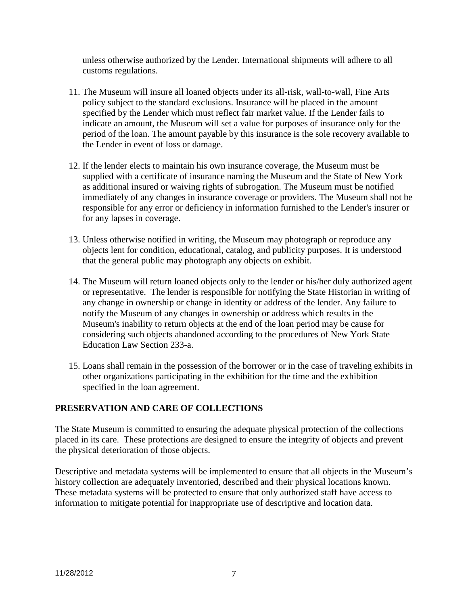unless otherwise authorized by the Lender. International shipments will adhere to all customs regulations.

- 11. The Museum will insure all loaned objects under its all-risk, wall-to-wall, Fine Arts policy subject to the standard exclusions. Insurance will be placed in the amount specified by the Lender which must reflect fair market value. If the Lender fails to indicate an amount, the Museum will set a value for purposes of insurance only for the period of the loan. The amount payable by this insurance is the sole recovery available to the Lender in event of loss or damage.
- 12. If the lender elects to maintain his own insurance coverage, the Museum must be supplied with a certificate of insurance naming the Museum and the State of New York as additional insured or waiving rights of subrogation. The Museum must be notified immediately of any changes in insurance coverage or providers. The Museum shall not be responsible for any error or deficiency in information furnished to the Lender's insurer or for any lapses in coverage.
- 13. Unless otherwise notified in writing, the Museum may photograph or reproduce any objects lent for condition, educational, catalog, and publicity purposes. It is understood that the general public may photograph any objects on exhibit.
- 14. The Museum will return loaned objects only to the lender or his/her duly authorized agent or representative. The lender is responsible for notifying the State Historian in writing of any change in ownership or change in identity or address of the lender. Any failure to notify the Museum of any changes in ownership or address which results in the Museum's inability to return objects at the end of the loan period may be cause for considering such objects abandoned according to the procedures of New York State Education Law Section 233-a.
- 15. Loans shall remain in the possession of the borrower or in the case of traveling exhibits in other organizations participating in the exhibition for the time and the exhibition specified in the loan agreement.

# **PRESERVATION AND CARE OF COLLECTIONS**

The State Museum is committed to ensuring the adequate physical protection of the collections placed in its care. These protections are designed to ensure the integrity of objects and prevent the physical deterioration of those objects.

Descriptive and metadata systems will be implemented to ensure that all objects in the Museum's history collection are adequately inventoried, described and their physical locations known. These metadata systems will be protected to ensure that only authorized staff have access to information to mitigate potential for inappropriate use of descriptive and location data.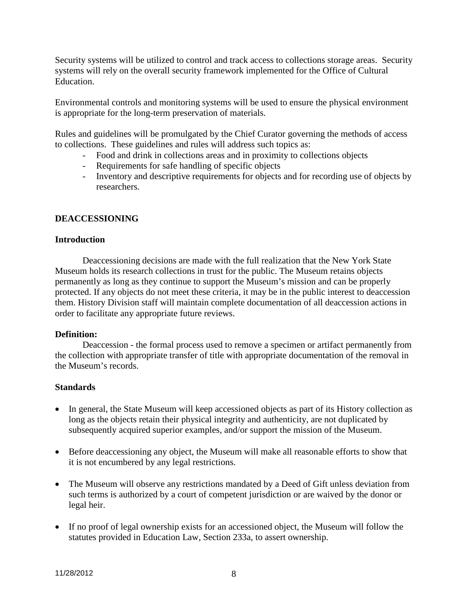Security systems will be utilized to control and track access to collections storage areas. Security systems will rely on the overall security framework implemented for the Office of Cultural Education.

Environmental controls and monitoring systems will be used to ensure the physical environment is appropriate for the long-term preservation of materials.

Rules and guidelines will be promulgated by the Chief Curator governing the methods of access to collections. These guidelines and rules will address such topics as:

- Food and drink in collections areas and in proximity to collections objects
- Requirements for safe handling of specific objects
- Inventory and descriptive requirements for objects and for recording use of objects by researchers.

## **DEACCESSIONING**

### **Introduction**

Deaccessioning decisions are made with the full realization that the New York State Museum holds its research collections in trust for the public. The Museum retains objects permanently as long as they continue to support the Museum's mission and can be properly protected. If any objects do not meet these criteria, it may be in the public interest to deaccession them. History Division staff will maintain complete documentation of all deaccession actions in order to facilitate any appropriate future reviews.

#### **Definition:**

Deaccession - the formal process used to remove a specimen or artifact permanently from the collection with appropriate transfer of title with appropriate documentation of the removal in the Museum's records.

### **Standards**

- In general, the State Museum will keep accessioned objects as part of its History collection as long as the objects retain their physical integrity and authenticity, are not duplicated by subsequently acquired superior examples, and/or support the mission of the Museum.
- Before deaccessioning any object, the Museum will make all reasonable efforts to show that it is not encumbered by any legal restrictions.
- The Museum will observe any restrictions mandated by a Deed of Gift unless deviation from such terms is authorized by a court of competent jurisdiction or are waived by the donor or legal heir.
- If no proof of legal ownership exists for an accessioned object, the Museum will follow the statutes provided in Education Law, Section 233a, to assert ownership.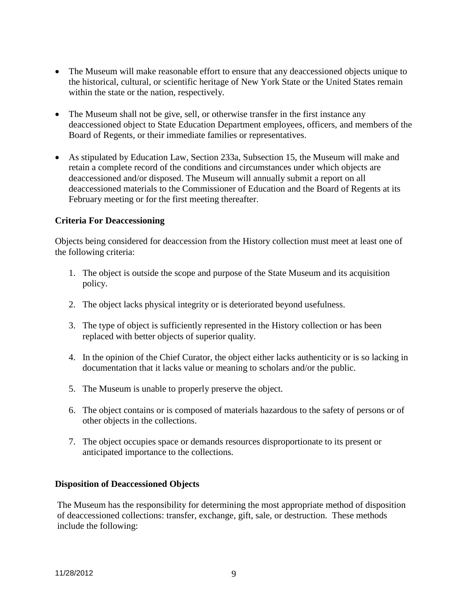- The Museum will make reasonable effort to ensure that any deaccessioned objects unique to the historical, cultural, or scientific heritage of New York State or the United States remain within the state or the nation, respectively.
- The Museum shall not be give, sell, or otherwise transfer in the first instance any deaccessioned object to State Education Department employees, officers, and members of the Board of Regents, or their immediate families or representatives.
- As stipulated by Education Law, Section 233a, Subsection 15, the Museum will make and retain a complete record of the conditions and circumstances under which objects are deaccessioned and/or disposed. The Museum will annually submit a report on all deaccessioned materials to the Commissioner of Education and the Board of Regents at its February meeting or for the first meeting thereafter.

## **Criteria For Deaccessioning**

Objects being considered for deaccession from the History collection must meet at least one of the following criteria:

- 1. The object is outside the scope and purpose of the State Museum and its acquisition policy.
- 2. The object lacks physical integrity or is deteriorated beyond usefulness.
- 3. The type of object is sufficiently represented in the History collection or has been replaced with better objects of superior quality.
- 4. In the opinion of the Chief Curator, the object either lacks authenticity or is so lacking in documentation that it lacks value or meaning to scholars and/or the public.
- 5. The Museum is unable to properly preserve the object.
- 6. The object contains or is composed of materials hazardous to the safety of persons or of other objects in the collections.
- 7. The object occupies space or demands resources disproportionate to its present or anticipated importance to the collections.

### **Disposition of Deaccessioned Objects**

The Museum has the responsibility for determining the most appropriate method of disposition of deaccessioned collections: transfer, exchange, gift, sale, or destruction. These methods include the following: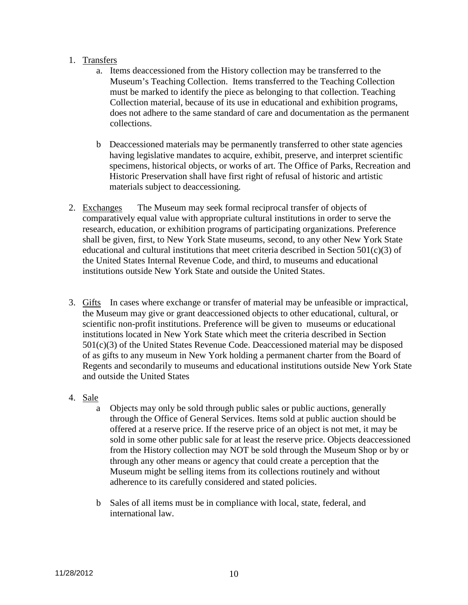# 1. Transfers

- a. Items deaccessioned from the History collection may be transferred to the Museum's Teaching Collection. Items transferred to the Teaching Collection must be marked to identify the piece as belonging to that collection. Teaching Collection material, because of its use in educational and exhibition programs, does not adhere to the same standard of care and documentation as the permanent collections.
- b Deaccessioned materials may be permanently transferred to other state agencies having legislative mandates to acquire, exhibit, preserve, and interpret scientific specimens, historical objects, or works of art. The Office of Parks, Recreation and Historic Preservation shall have first right of refusal of historic and artistic materials subject to deaccessioning.
- 2. Exchanges The Museum may seek formal reciprocal transfer of objects of comparatively equal value with appropriate cultural institutions in order to serve the research, education, or exhibition programs of participating organizations. Preference shall be given, first, to New York State museums, second, to any other New York State educational and cultural institutions that meet criteria described in Section  $501(c)(3)$  of the United States Internal Revenue Code, and third, to museums and educational institutions outside New York State and outside the United States.
- 3. Gifts In cases where exchange or transfer of material may be unfeasible or impractical, the Museum may give or grant deaccessioned objects to other educational, cultural, or scientific non-profit institutions. Preference will be given to museums or educational institutions located in New York State which meet the criteria described in Section 501(c)(3) of the United States Revenue Code. Deaccessioned material may be disposed of as gifts to any museum in New York holding a permanent charter from the Board of Regents and secondarily to museums and educational institutions outside New York State and outside the United States

# 4. Sale

- a Objects may only be sold through public sales or public auctions, generally through the Office of General Services. Items sold at public auction should be offered at a reserve price. If the reserve price of an object is not met, it may be sold in some other public sale for at least the reserve price. Objects deaccessioned from the History collection may NOT be sold through the Museum Shop or by or through any other means or agency that could create a perception that the Museum might be selling items from its collections routinely and without adherence to its carefully considered and stated policies.
- b Sales of all items must be in compliance with local, state, federal, and international law.